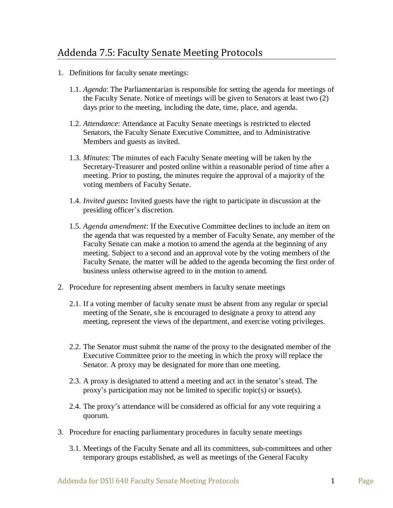- 1. Definitions for faculty senate meetings:
	- 1.1. *Agenda*: The Parliamentarian is responsible for setting the agenda for meetings of the Faculty Senate. Notice of meetings will be given to Senators at least two (2) days prior to the meeting, including the date, time, place, and agenda.
	- 1.2. *Attendance*: Attendance at Faculty Senate meetings is restricted to elected Senators, the Faculty Senate Executive Committee, and to Administrative Members and guests as invited.
	- 1.3. *Minutes*: The minutes of each Faculty Senate meeting will be taken by the Secretary-Treasurer and posted online within a reasonable period of time after a meeting. Prior to posting, the minutes require the approval of a majority of the voting members of Faculty Senate.
	- 1.4. *Invited guests***:** Invited guests have the right to participate in discussion at the presiding officer's discretion.
	- 1.5. *Agenda amendment*: If the Executive Committee declines to include an item on the agenda that was requested by a member of Faculty Senate, any member of the Faculty Senate can make a motion to amend the agenda at the beginning of any meeting. Subject to a second and an approval vote by the voting members of the Faculty Senate, the matter will be added to the agenda becoming the first order of business unless otherwise agreed to in the motion to amend.
- 2. Procedure for representing absent members in faculty senate meetings
	- 2.1. If a voting member of faculty senate must be absent from any regular or special meeting of the Senate, s/he is encouraged to designate a proxy to attend any meeting, represent the views of the department, and exercise voting privileges.
	- 2.2. The Senator must submit the name of the proxy to the designated member of the Executive Committee prior to the meeting in which the proxy will replace the Senator. A proxy may be designated for more than one meeting.
	- 2.3. A proxy is designated to attend a meeting and act in the senator's stead. The proxy's participation may not be limited to specific topic(s) or issue(s).
	- 2.4. The proxy's attendance will be considered as official for any vote requiring a quorum.
- 3. Procedure for enacting parliamentary procedures in faculty senate meetings
	- 3.1. Meetings of the Faculty Senate and all its committees, sub-committees and other temporary groups established, as well as meetings of the General Faculty